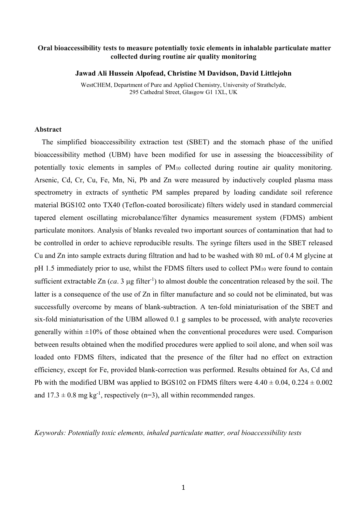## **Oral bioaccessibility tests to measure potentially toxic elements in inhalable particulate matter collected during routine air quality monitoring**

#### **Jawad Ali Hussein Alpofead, Christine M Davidson, David Littlejohn**

WestCHEM, Department of Pure and Applied Chemistry, University of Strathclyde, 295 Cathedral Street, Glasgow G1 1XL, UK

### **Abstract**

 The simplified bioaccessibility extraction test (SBET) and the stomach phase of the unified bioaccessibility method (UBM) have been modified for use in assessing the bioaccessibility of potentially toxic elements in samples of PM<sup>10</sup> collected during routine air quality monitoring. Arsenic, Cd, Cr, Cu, Fe, Mn, Ni, Pb and Zn were measured by inductively coupled plasma mass spectrometry in extracts of synthetic PM samples prepared by loading candidate soil reference material BGS102 onto TX40 (Teflon-coated borosilicate) filters widely used in standard commercial tapered element oscillating microbalance/filter dynamics measurement system (FDMS) ambient particulate monitors. Analysis of blanks revealed two important sources of contamination that had to be controlled in order to achieve reproducible results. The syringe filters used in the SBET released Cu and Zn into sample extracts during filtration and had to be washed with 80 mL of 0.4 M glycine at pH 1.5 immediately prior to use, whilst the FDMS filters used to collect  $PM_{10}$  were found to contain sufficient extractable  $Zn$  (*ca*. 3 µg filter<sup>-1</sup>) to almost double the concentration released by the soil. The latter is a consequence of the use of Zn in filter manufacture and so could not be eliminated, but was successfully overcome by means of blank-subtraction. A ten-fold miniaturisation of the SBET and six-fold miniaturisation of the UBM allowed 0.1 g samples to be processed, with analyte recoveries generally within  $\pm 10\%$  of those obtained when the conventional procedures were used. Comparison between results obtained when the modified procedures were applied to soil alone, and when soil was loaded onto FDMS filters, indicated that the presence of the filter had no effect on extraction efficiency, except for Fe, provided blank-correction was performed. Results obtained for As, Cd and Pb with the modified UBM was applied to BGS102 on FDMS filters were  $4.40 \pm 0.04$ ,  $0.224 \pm 0.002$ and  $17.3 \pm 0.8$  mg kg<sup>-1</sup>, respectively (n=3), all within recommended ranges.

*Keywords: Potentially toxic elements, inhaled particulate matter, oral bioaccessibility tests*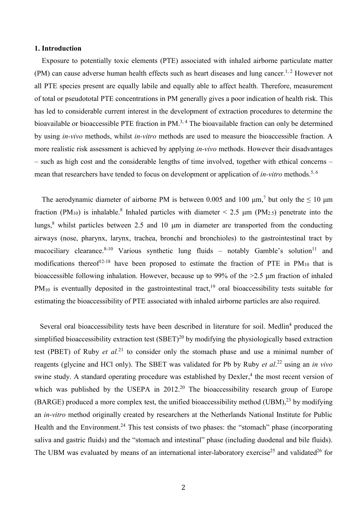#### **1. Introduction**

Exposure to potentially toxic elements (PTE) associated with inhaled airborne particulate matter  $(PM)$  can cause adverse human health effects such as heart diseases and lung cancer.<sup>1, 2</sup> However not all PTE species present are equally labile and equally able to affect health. Therefore, measurement of total or pseudototal PTE concentrations in PM generally gives a poor indication of health risk. This has led to considerable current interest in the development of extraction procedures to determine the bioavailable or bioaccessible PTE fraction in PM.<sup>3,4</sup> The bioavailable fraction can only be determined by using *in-vivo* methods, whilst *in-vitro* methods are used to measure the bioaccessible fraction. A more realistic risk assessment is achieved by applying *in-vivo* methods. However their disadvantages – such as high cost and the considerable lengths of time involved, together with ethical concerns – mean that researchers have tended to focus on development or application of *in-vitro* methods. 5, 6

The aerodynamic diameter of airborne PM is between 0.005 and 100  $\mu$ m,<sup>7</sup> but only the  $\leq 10 \mu$ m fraction (PM<sub>10</sub>) is inhalable.<sup>8</sup> Inhaled particles with diameter  $\leq 2.5$  µm (PM<sub>2.5</sub>) penetrate into the lungs, $8$  whilst particles between 2.5 and 10  $\mu$ m in diameter are transported from the conducting airways (nose, pharynx, larynx, trachea, bronchi and bronchioles) to the gastrointestinal tract by mucociliary clearance.  $8-10$  Various synthetic lung fluids – notably Gamble's solution<sup>11</sup> and modifications thereof<sup>12-18</sup> have been proposed to estimate the fraction of PTE in  $PM_{10}$  that is bioaccessible following inhalation. However, because up to 99% of the >2.5 μm fraction of inhaled  $PM_{10}$  is eventually deposited in the gastrointestinal tract,<sup>19</sup> oral bioaccessibility tests suitable for estimating the bioaccessibility of PTE associated with inhaled airborne particles are also required.

Several oral bioaccessibility tests have been described in literature for soil. Medlin<sup>4</sup> produced the simplified bioaccessibility extraction test  $(SBET)^{20}$  by modifying the physiologically based extraction test (PBET) of Ruby *et al.*<sup>21</sup> to consider only the stomach phase and use a minimal number of reagents (glycine and HCl only). The SBET was validated for Pb by Ruby *et al*. <sup>22</sup> using an *in vivo* swine study. A standard operating procedure was established by Dexler,<sup>4</sup> the most recent version of which was published by the USEPA in  $2012<sup>20</sup>$  The bioaccessibility research group of Europe  $(BARGE)$  produced a more complex test, the unified bioaccessibility method  $(UBM)$ ,<sup>23</sup> by modifying an *in-vitro* method originally created by researchers at the Netherlands National Institute for Public Health and the Environment.<sup>24</sup> This test consists of two phases: the "stomach" phase (incorporating saliva and gastric fluids) and the "stomach and intestinal" phase (including duodenal and bile fluids). The UBM was evaluated by means of an international inter-laboratory exercise<sup>25</sup> and validated<sup>26</sup> for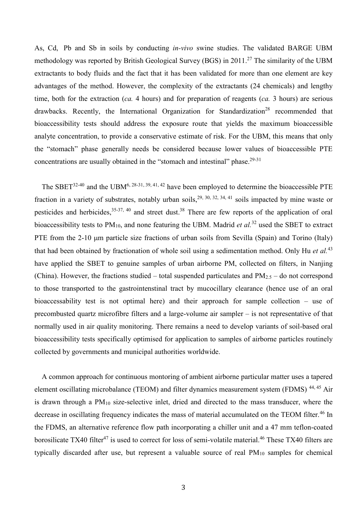As, Cd, Pb and Sb in soils by conducting *in-vivo* swine studies. The validated BARGE UBM methodology was reported by British Geological Survey (BGS) in 2011. <sup>27</sup> The similarity of the UBM extractants to body fluids and the fact that it has been validated for more than one element are key advantages of the method. However, the complexity of the extractants (24 chemicals) and lengthy time, both for the extraction (*ca.* 4 hours) and for preparation of reagents (*ca.* 3 hours) are serious drawbacks. Recently, the International Organization for Standardization<sup>28</sup> recommended that bioaccessibility tests should address the exposure route that yields the maximum bioaccessible analyte concentration, to provide a conservative estimate of risk. For the UBM, this means that only the "stomach" phase generally needs be considered because lower values of bioaccessible PTE concentrations are usually obtained in the "stomach and intestinal" phase. 29-31

The SBET<sup>32-40</sup> and the UBM<sup>6, 28-31, 39, 41, 42</sup> have been employed to determine the bioaccessible PTE fraction in a variety of substrates, notably urban soils, <sup>29, 30, 32, 34, 41</sup> soils impacted by mine waste or pesticides and herbicides, <sup>35-37, 40</sup> and street dust.<sup>38</sup> There are few reports of the application of oral bioaccessibility tests to PM10, and none featuring the UBM. Madrid *et al.*<sup>32</sup> used the SBET to extract PTE from the 2-10  $\mu$ m particle size fractions of urban soils from Sevilla (Spain) and Torino (Italy) that had been obtained by fractionation of whole soil using a sedimentation method. Only Hu *et al.*<sup>43</sup> have applied the SBET to genuine samples of urban airborne PM, collected on filters, in Nanjing (China). However, the fractions studied – total suspended particulates and  $PM_{2.5}$  – do not correspond to those transported to the gastrointenstinal tract by mucocillary clearance (hence use of an oral bioaccessability test is not optimal here) and their approach for sample collection – use of precombusted quartz microfibre filters and a large-volume air sampler – is not representative of that normally used in air quality monitoring. There remains a need to develop variants of soil-based oral bioaccessibility tests specifically optimised for application to samples of airborne particles routinely collected by governments and municipal authorities worldwide.

 A common approach for continuous montoring of ambient airborne particular matter uses a tapered element oscillating microbalance (TEOM) and filter dynamics measurement system (FDMS) 44, 45 Air is drawn through a PM<sup>10</sup> size-selective inlet, dried and directed to the mass transducer, where the decrease in oscillating frequency indicates the mass of material accumulated on the TEOM filter.<sup>46</sup> In the FDMS, an alternative reference flow path incorporating a chiller unit and a 47 mm teflon-coated borosilicate TX40 filter<sup>47</sup> is used to correct for loss of semi-volatile material.<sup>46</sup> These TX40 filters are typically discarded after use, but represent a valuable source of real PM<sup>10</sup> samples for chemical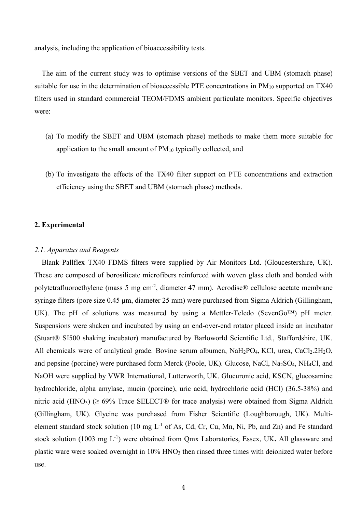analysis, including the application of bioaccessibility tests.

 The aim of the current study was to optimise versions of the SBET and UBM (stomach phase) suitable for use in the determination of bioaccessible PTE concentrations in PM<sub>10</sub> supported on TX40 filters used in standard commercial TEOM/FDMS ambient particulate monitors. Specific objectives were:

- (a) To modify the SBET and UBM (stomach phase) methods to make them more suitable for application to the small amount of  $PM_{10}$  typically collected, and
- (b) To investigate the effects of the TX40 filter support on PTE concentrations and extraction efficiency using the SBET and UBM (stomach phase) methods.

### **2. Experimental**

## *2.1. Apparatus and Reagents*

 Blank Pallflex TX40 FDMS filters were supplied by Air Monitors Ltd. (Gloucestershire, UK). These are composed of borosilicate microfibers reinforced with woven glass cloth and bonded with polytetrafluoroethylene (mass 5 mg cm<sup>-2</sup>, diameter 47 mm). Acrodisc® cellulose acetate membrane syringe filters (pore size 0.45 μm, diameter 25 mm) were purchased from Sigma Aldrich (Gillingham, UK). The pH of solutions was measured by using a Mettler-Teledo (SevenGo™) pH meter. Suspensions were shaken and incubated by using an end-over-end rotator placed inside an incubator (Stuart® SI500 shaking incubator) manufactured by Barloworld Scientific Ltd., Staffordshire, UK. All chemicals were of analytical grade. Bovine serum albumen,  $NaH<sub>2</sub>PO<sub>4</sub>$ , KCl, urea, CaCl<sub>2</sub>.2H<sub>2</sub>O, and pepsine (porcine) were purchased form Merck (Poole, UK). Glucose, NaCl, Na2SO4, NH4Cl, and NaOH were supplied by VWR International, Lutterworth, UK. Glucuronic acid, KSCN, glucosamine hydrochloride, alpha amylase, mucin (porcine), uric acid, hydrochloric acid (HCl) (36.5-38%) and nitric acid (HNO<sub>3</sub>) ( $\geq 69\%$  Trace SELECT® for trace analysis) were obtained from Sigma Aldrich (Gillingham, UK). Glycine was purchased from Fisher Scientific (Loughborough, UK). Multielement standard stock solution (10 mg L<sup>-1</sup> of As, Cd, Cr, Cu, Mn, Ni, Pb, and Zn) and Fe standard stock solution (1003 mg L-1 ) were obtained from Qmx Laboratories, Essex, UK**.** All glassware and plastic ware were soaked overnight in 10% HNO<sub>3</sub> then rinsed three times with deionized water before use.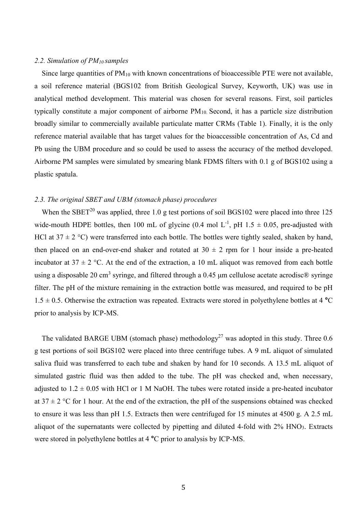#### *2.2. Simulation of PM<sup>10</sup> samples*

Since large quantities of  $PM_{10}$  with known concentrations of bioaccessible PTE were not available, a soil reference material (BGS102 from British Geological Survey, Keyworth, UK) was use in analytical method development. This material was chosen for several reasons. First, soil particles typically constitute a major component of airborne  $PM_{10}$ . Second, it has a particle size distribution broadly similar to commercially available particulate matter CRMs (Table 1). Finally, it is the only reference material available that has target values for the bioaccessible concentration of As, Cd and Pb using the UBM procedure and so could be used to assess the accuracy of the method developed. Airborne PM samples were simulated by smearing blank FDMS filters with 0.1 g of BGS102 using a plastic spatula.

## *2.3. The original SBET and UBM (stomach phase) procedures*

When the SBET<sup>20</sup> was applied, three 1.0 g test portions of soil BGS102 were placed into three 125 wide-mouth HDPE bottles, then 100 mL of glycine (0.4 mol L<sup>-1</sup>, pH 1.5  $\pm$  0.05, pre-adjusted with HCl at  $37 \pm 2$  °C) were transferred into each bottle. The bottles were tightly sealed, shaken by hand, then placed on an end-over-end shaker and rotated at  $30 \pm 2$  rpm for 1 hour inside a pre-heated incubator at  $37 \pm 2$  °C. At the end of the extraction, a 10 mL aliquot was removed from each bottle using a disposable 20 cm<sup>3</sup> syringe, and filtered through a 0.45  $\mu$ m cellulose acetate acrodisc® syringe filter. The pH of the mixture remaining in the extraction bottle was measured, and required to be pH 1.5 ± 0.5. Otherwise the extraction was repeated. Extracts were stored in polyethylene bottles at 4 **°**C prior to analysis by ICP-MS.

The validated BARGE UBM (stomach phase) methodology<sup>27</sup> was adopted in this study. Three 0.6 g test portions of soil BGS102 were placed into three centrifuge tubes. A 9 mL aliquot of simulated saliva fluid was transferred to each tube and shaken by hand for 10 seconds. A 13.5 mL aliquot of simulated gastric fluid was then added to the tube. The pH was checked and, when necessary, adjusted to  $1.2 \pm 0.05$  with HCl or 1 M NaOH. The tubes were rotated inside a pre-heated incubator at  $37 \pm 2$  °C for 1 hour. At the end of the extraction, the pH of the suspensions obtained was checked to ensure it was less than pH 1.5. Extracts then were centrifuged for 15 minutes at 4500 g. A 2.5 mL aliquot of the supernatants were collected by pipetting and diluted 4-fold with 2% HNO<sub>3</sub>. Extracts were stored in polyethylene bottles at 4 **°**C prior to analysis by ICP-MS.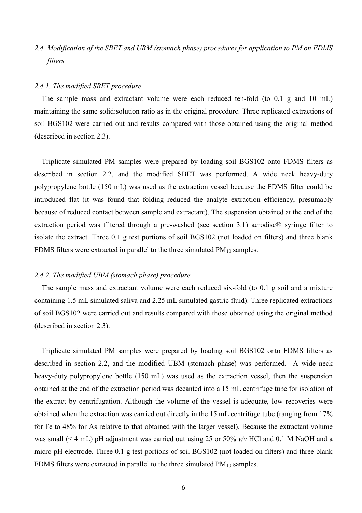# *2.4. Modification of the SBET and UBM (stomach phase) procedures for application to PM on FDMS filters*

### *2.4.1. The modified SBET procedure*

 The sample mass and extractant volume were each reduced ten-fold (to 0.1 g and 10 mL) maintaining the same solid:solution ratio as in the original procedure. Three replicated extractions of soil BGS102 were carried out and results compared with those obtained using the original method (described in section 2.3).

 Triplicate simulated PM samples were prepared by loading soil BGS102 onto FDMS filters as described in section 2.2, and the modified SBET was performed. A wide neck heavy-duty polypropylene bottle (150 mL) was used as the extraction vessel because the FDMS filter could be introduced flat (it was found that folding reduced the analyte extraction efficiency, presumably because of reduced contact between sample and extractant). The suspension obtained at the end of the extraction period was filtered through a pre-washed (see section 3.1) acrodisc® syringe filter to isolate the extract. Three 0.1 g test portions of soil BGS102 (not loaded on filters) and three blank FDMS filters were extracted in parallel to the three simulated PM<sub>10</sub> samples.

#### *2.4.2. The modified UBM (stomach phase) procedure*

 The sample mass and extractant volume were each reduced six-fold (to 0.1 g soil and a mixture containing 1.5 mL simulated saliva and 2.25 mL simulated gastric fluid). Three replicated extractions of soil BGS102 were carried out and results compared with those obtained using the original method (described in section 2.3).

 Triplicate simulated PM samples were prepared by loading soil BGS102 onto FDMS filters as described in section 2.2, and the modified UBM (stomach phase) was performed. A wide neck heavy-duty polypropylene bottle (150 mL) was used as the extraction vessel, then the suspension obtained at the end of the extraction period was decanted into a 15 mL centrifuge tube for isolation of the extract by centrifugation. Although the volume of the vessel is adequate, low recoveries were obtained when the extraction was carried out directly in the 15 mL centrifuge tube (ranging from 17% for Fe to 48% for As relative to that obtained with the larger vessel). Because the extractant volume was small (< 4 mL) pH adjustment was carried out using 25 or 50% *v/v* HCl and 0.1 M NaOH and a micro pH electrode. Three 0.1 g test portions of soil BGS102 (not loaded on filters) and three blank FDMS filters were extracted in parallel to the three simulated  $PM_{10}$  samples.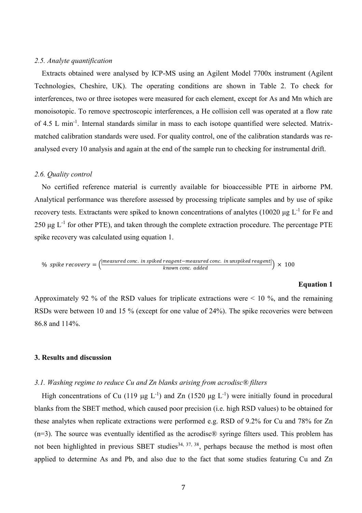### *2.5. Analyte quantification*

 Extracts obtained were analysed by ICP-MS using an Agilent Model 7700x instrument (Agilent Technologies, Cheshire, UK). The operating conditions are shown in Table 2. To check for interferences, two or three isotopes were measured for each element, except for As and Mn which are monoisotopic. To remove spectroscopic interferences, a He collision cell was operated at a flow rate of 4.5 L min<sup>-1</sup>. Internal standards similar in mass to each isotope quantified were selected. Matrixmatched calibration standards were used. For quality control, one of the calibration standards was reanalysed every 10 analysis and again at the end of the sample run to checking for instrumental drift.

### *2.6. Quality control*

 No certified reference material is currently available for bioaccessible PTE in airborne PM. Analytical performance was therefore assessed by processing triplicate samples and by use of spike recovery tests. Extractants were spiked to known concentrations of analytes (10020 μg  $L<sup>-1</sup>$  for Fe and 250  $\mu$ g L<sup>-1</sup> for other PTE), and taken through the complete extraction procedure. The percentage PTE spike recovery was calculated using equation 1.

$$
\% \text{ spike recovery} = \left(\frac{|measured \text{ conc. in splied \text{ reagent} - measured \text{ conc. in unspiked \text{ reagent}}}{known \text{ conc. \text{ added}}}\right) \times 100
$$

### **Equation 1**

Approximately 92 % of the RSD values for triplicate extractions were  $\leq 10$  %, and the remaining RSDs were between 10 and 15 % (except for one value of 24%). The spike recoveries were between 86.8 and 114%.

## **3. Results and discussion**

#### *3.1. Washing regime to reduce Cu and Zn blanks arising from acrodisc® filters*

High concentrations of Cu (119  $\mu$ g L<sup>-1</sup>) and Zn (1520  $\mu$ g L<sup>-1</sup>) were initially found in procedural blanks from the SBET method, which caused poor precision (i.e. high RSD values) to be obtained for these analytes when replicate extractions were performed e.g. RSD of 9.2% for Cu and 78% for Zn (n=3). The source was eventually identified as the acrodisc® syringe filters used. This problem has not been highlighted in previous SBET studies<sup>34, 37, 38</sup>, perhaps because the method is most often applied to determine As and Pb, and also due to the fact that some studies featuring Cu and Zn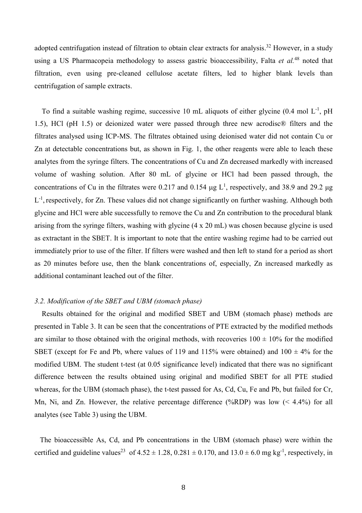adopted centrifugation instead of filtration to obtain clear extracts for analysis.<sup>32</sup> However, in a study using a US Pharmacopeia methodology to assess gastric bioaccessibility, Falta *et al.*<sup>48</sup> noted that filtration, even using pre-cleaned cellulose acetate filters, led to higher blank levels than centrifugation of sample extracts.

To find a suitable washing regime, successive 10 mL aliquots of either glycine  $(0.4 \text{ mol L}^{-1}, \text{pH})$ 1.5), HCl (pH 1.5) or deionized water were passed through three new acrodisc® filters and the filtrates analysed using ICP-MS. The filtrates obtained using deionised water did not contain Cu or Zn at detectable concentrations but, as shown in Fig. 1, the other reagents were able to leach these analytes from the syringe filters. The concentrations of Cu and Zn decreased markedly with increased volume of washing solution. After 80 mL of glycine or HCl had been passed through, the concentrations of Cu in the filtrates were 0.217 and 0.154  $\mu$ g L<sup>1</sup>, respectively, and 38.9 and 29.2  $\mu$ g L<sup>-1</sup>, respectively, for Zn. These values did not change significantly on further washing. Although both glycine and HCl were able successfully to remove the Cu and Zn contribution to the procedural blank arising from the syringe filters, washing with glycine (4 x 20 mL) was chosen because glycine is used as extractant in the SBET. It is important to note that the entire washing regime had to be carried out immediately prior to use of the filter. If filters were washed and then left to stand for a period as short as 20 minutes before use, then the blank concentrations of, especially, Zn increased markedly as additional contaminant leached out of the filter.

#### *3.2. Modification of the SBET and UBM (stomach phase)*

 Results obtained for the original and modified SBET and UBM (stomach phase) methods are presented in Table 3. It can be seen that the concentrations of PTE extracted by the modified methods are similar to those obtained with the original methods, with recoveries  $100 \pm 10\%$  for the modified SBET (except for Fe and Pb, where values of 119 and 115% were obtained) and  $100 \pm 4\%$  for the modified UBM. The student t-test (at 0.05 significance level) indicated that there was no significant difference between the results obtained using original and modified SBET for all PTE studied whereas, for the UBM (stomach phase), the t-test passed for As, Cd, Cu, Fe and Pb, but failed for Cr, Mn, Ni, and Zn. However, the relative percentage difference (%RDP) was low (< 4.4%) for all analytes (see Table 3) using the UBM.

The bioaccessible As, Cd, and Pb concentrations in the UBM (stomach phase) were within the certified and guideline values<sup>23</sup> of  $4.52 \pm 1.28$ ,  $0.281 \pm 0.170$ , and  $13.0 \pm 6.0$  mg kg<sup>-1</sup>, respectively, in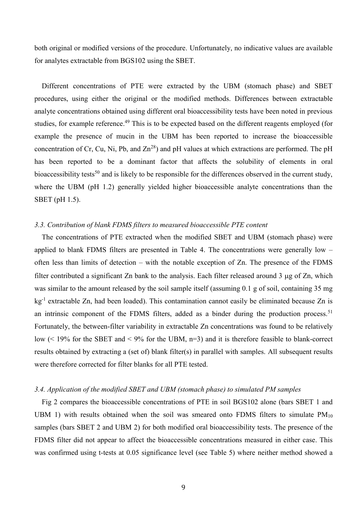both original or modified versions of the procedure. Unfortunately, no indicative values are available for analytes extractable from BGS102 using the SBET.

 Different concentrations of PTE were extracted by the UBM (stomach phase) and SBET procedures, using either the original or the modified methods. Differences between extractable analyte concentrations obtained using different oral bioaccessibility tests have been noted in previous studies, for example reference.<sup>49</sup> This is to be expected based on the different reagents employed (for example the presence of mucin in the UBM has been reported to increase the bioaccessible concentration of Cr, Cu, Ni, Pb, and  $Zn^{28}$ ) and pH values at which extractions are performed. The pH has been reported to be a dominant factor that affects the solubility of elements in oral bioaccessibility tests<sup>50</sup> and is likely to be responsible for the differences observed in the current study, where the UBM (pH 1.2) generally yielded higher bioaccessible analyte concentrations than the SBET (pH 1.5).

## *3.3. Contribution of blank FDMS filters to measured bioaccessible PTE content*

 The concentrations of PTE extracted when the modified SBET and UBM (stomach phase) were applied to blank FDMS filters are presented in Table 4. The concentrations were generally low – often less than limits of detection – with the notable exception of Zn. The presence of the FDMS filter contributed a significant  $Zn$  bank to the analysis. Each filter released around 3  $\mu$ g of  $Zn$ , which was similar to the amount released by the soil sample itself (assuming 0.1 g of soil, containing 35 mg kg<sup>-1</sup> extractable Zn, had been loaded). This contamination cannot easily be eliminated because Zn is an intrinsic component of the FDMS filters, added as a binder during the production process.<sup>51</sup> Fortunately, the between-filter variability in extractable Zn concentrations was found to be relatively low (< 19% for the SBET and < 9% for the UBM, n=3) and it is therefore feasible to blank-correct results obtained by extracting a (set of) blank filter(s) in parallel with samples. All subsequent results were therefore corrected for filter blanks for all PTE tested.

## *3.4. Application of the modified SBET and UBM (stomach phase) to simulated PM samples*

 Fig 2 compares the bioaccessible concentrations of PTE in soil BGS102 alone (bars SBET 1 and UBM 1) with results obtained when the soil was smeared onto FDMS filters to simulate  $PM_{10}$ samples (bars SBET 2 and UBM 2) for both modified oral bioaccessibility tests. The presence of the FDMS filter did not appear to affect the bioaccessible concentrations measured in either case. This was confirmed using t-tests at 0.05 significance level (see Table 5) where neither method showed a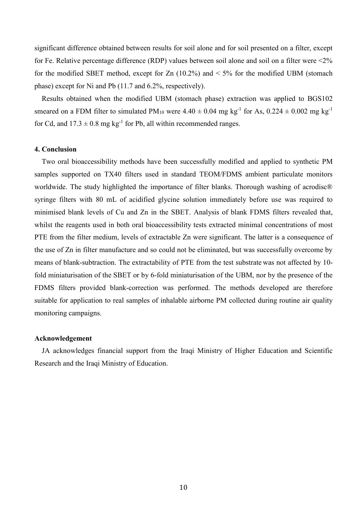significant difference obtained between results for soil alone and for soil presented on a filter, except for Fe. Relative percentage difference (RDP) values between soil alone and soil on a filter were <2% for the modified SBET method, except for Zn  $(10.2\%)$  and  $\lt$  5% for the modified UBM (stomach phase) except for Ni and Pb (11.7 and 6.2%, respectively).

 Results obtained when the modified UBM (stomach phase) extraction was applied to BGS102 smeared on a FDM filter to simulated  $PM_{10}$  were  $4.40 \pm 0.04$  mg kg<sup>-1</sup> for As,  $0.224 \pm 0.002$  mg kg<sup>-1</sup> for Cd, and  $17.3 \pm 0.8$  mg kg<sup>-1</sup> for Pb, all within recommended ranges.

#### **4. Conclusion**

 Two oral bioaccessibility methods have been successfully modified and applied to synthetic PM samples supported on TX40 filters used in standard TEOM/FDMS ambient particulate monitors worldwide. The study highlighted the importance of filter blanks. Thorough washing of acrodisc® syringe filters with 80 mL of acidified glycine solution immediately before use was required to minimised blank levels of Cu and Zn in the SBET. Analysis of blank FDMS filters revealed that, whilst the reagents used in both oral bioaccessibility tests extracted minimal concentrations of most PTE from the filter medium, levels of extractable Zn were significant. The latter is a consequence of the use of Zn in filter manufacture and so could not be eliminated, but was successfully overcome by means of blank-subtraction. The extractability of PTE from the test substrate was not affected by 10 fold miniaturisation of the SBET or by 6-fold miniaturisation of the UBM, nor by the presence of the FDMS filters provided blank-correction was performed. The methods developed are therefore suitable for application to real samples of inhalable airborne PM collected during routine air quality monitoring campaigns.

#### **Acknowledgement**

 JA acknowledges financial support from the Iraqi Ministry of Higher Education and Scientific Research and the Iraqi Ministry of Education.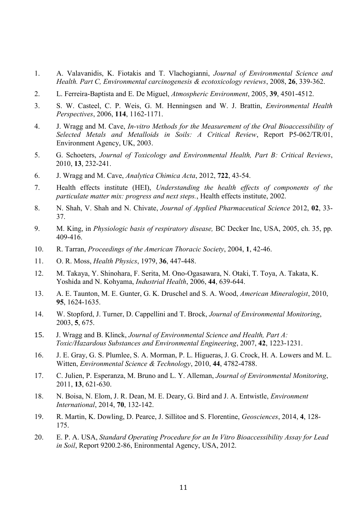- 1. A. Valavanidis, K. Fiotakis and T. Vlachogianni, *Journal of Environmental Science and Health. Part C, Environmental carcinogenesis & ecotoxicology reviews*, 2008, **26**, 339-362.
- 2. L. Ferreira-Baptista and E. De Miguel, *Atmospheric Environment*, 2005, **39**, 4501-4512.
- 3. S. W. Casteel, C. P. Weis, G. M. Henningsen and W. J. Brattin, *Environmental Health Perspectives*, 2006, **114**, 1162-1171.
- 4. J. Wragg and M. Cave, *In-vitro Methods for the Measurement of the Oral Bioaccessibility of Selected Metals and Metalloids in Soils: A Critical Review*, Report P5-062/TR/01, Environment Agency, UK, 2003.
- 5. G. Schoeters, *Journal of Toxicology and Environmental Health, Part B: Critical Reviews*, 2010, **13**, 232-241.
- 6. J. Wragg and M. Cave, *Analytica Chimica Acta*, 2012, **722**, 43-54.
- 7. Health effects institute (HEI), *Understanding the health effects of components of the particulate matter mix: progress and next steps.*, Health effects institute, 2002.
- 8. N. Shah, V. Shah and N. Chivate, *Journal of Applied Pharmaceutical Science* 2012, **02**, 33- 37.
- 9. M. King, in *Physiologic basis of respiratory disease,* BC Decker Inc, USA, 2005, ch. 35, pp. 409-416.
- 10. R. Tarran, *Proceedings of the American Thoracic Society*, 2004, **1**, 42-46.
- 11. O. R. Moss, *Health Physics*, 1979, **36**, 447-448.
- 12. M. Takaya, Y. Shinohara, F. Serita, M. Ono-Ogasawara, N. Otaki, T. Toya, A. Takata, K. Yoshida and N. Kohyama, *Industrial Health*, 2006, **44**, 639-644.
- 13. A. E. Taunton, M. E. Gunter, G. K. Druschel and S. A. Wood, *American Mineralogist*, 2010, **95**, 1624-1635.
- 14. W. Stopford, J. Turner, D. Cappellini and T. Brock, *Journal of Environmental Monitoring*, 2003, **5**, 675.
- 15. J. Wragg and B. Klinck, *Journal of Environmental Science and Health, Part A: Toxic/Hazardous Substances and Environmental Engineering*, 2007, **42**, 1223-1231.
- 16. J. E. Gray, G. S. Plumlee, S. A. Morman, P. L. Higueras, J. G. Crock, H. A. Lowers and M. L. Witten, *Environmental Science & Technology*, 2010, **44**, 4782-4788.
- 17. C. Julien, P. Esperanza, M. Bruno and L. Y. Alleman, *Journal of Environmental Monitoring*, 2011, **13**, 621-630.
- 18. N. Boisa, N. Elom, J. R. Dean, M. E. Deary, G. Bird and J. A. Entwistle, *Environment International*, 2014, **70**, 132-142.
- 19. R. Martin, K. Dowling, D. Pearce, J. Sillitoe and S. Florentine, *Geosciences*, 2014, **4**, 128- 175.
- 20. E. P. A. USA, *Standard Operating Procedure for an In Vitro Bioaccessibility Assay for Lead in Soil*, Report 9200.2-86, Enironmental Agency, USA, 2012.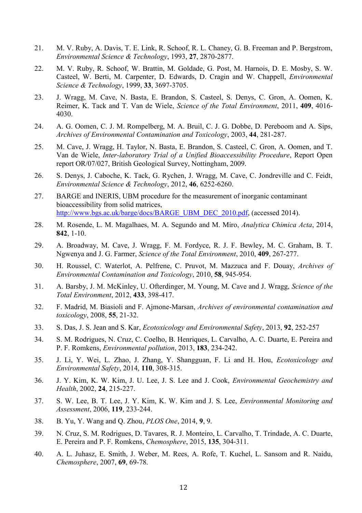- 21. M. V. Ruby, A. Davis, T. E. Link, R. Schoof, R. L. Chaney, G. B. Freeman and P. Bergstrom, *Environmental Science & Technology*, 1993, **27**, 2870-2877.
- 22. M. V. Ruby, R. Schoof, W. Brattin, M. Goldade, G. Post, M. Harnois, D. E. Mosby, S. W. Casteel, W. Berti, M. Carpenter, D. Edwards, D. Cragin and W. Chappell, *Environmental Science & Technology*, 1999, **33**, 3697-3705.
- 23. J. Wragg, M. Cave, N. Basta, E. Brandon, S. Casteel, S. Denys, C. Gron, A. Oomen, K. Reimer, K. Tack and T. Van de Wiele, *Science of the Total Environment*, 2011, **409**, 4016- 4030.
- 24. A. G. Oomen, C. J. M. Rompelberg, M. A. Bruil, C. J. G. Dobbe, D. Pereboom and A. Sips, *Archives of Environmental Contamination and Toxicology*, 2003, **44**, 281-287.
- 25. M. Cave, J. Wragg, H. Taylor, N. Basta, E. Brandon, S. Casteel, C. Gron, A. Oomen, and T. Van de Wiele, *Inter-laboratory Trial of a Unified Bioaccessibility Procedure*, Report Open report OR/07/027, British Geological Survey, Nottingham, 2009.
- 26. S. Denys, J. Caboche, K. Tack, G. Rychen, J. Wragg, M. Cave, C. Jondreville and C. Feidt, *Environmental Science & Technology*, 2012, **46**, 6252-6260.
- 27. BARGE and INERIS, UBM procedure for the measurement of inorganic contaminant bioaccessibility from solid matrices, [http://www.bgs.ac.uk/barge/docs/BARGE\\_UBM\\_DEC\\_2010.pdf,](http://www.bgs.ac.uk/barge/docs/BARGE_UBM_DEC_2010.pdf) (accessed 2014).
- 28. M. Rosende, L. M. Magalhaes, M. A. Segundo and M. Miro, *Analytica Chimica Acta*, 2014, **842**, 1-10.
- 29. A. Broadway, M. Cave, J. Wragg, F. M. Fordyce, R. J. F. Bewley, M. C. Graham, B. T. Ngwenya and J. G. Farmer, *Science of the Total Environment*, 2010, **409**, 267-277.
- 30. H. Roussel, C. Waterlot, A. Pelfrene, C. Pruvot, M. Mazzuca and F. Douay, *Archives of Environmental Contamination and Toxicology*, 2010, **58**, 945-954.
- 31. A. Barsby, J. M. McKinley, U. Ofterdinger, M. Young, M. Cave and J. Wragg, *Science of the Total Environment*, 2012, **433**, 398-417.
- 32. F. Madrid, M. Biasioli and F. Ajmone-Marsan, *Archives of environmental contamination and toxicology*, 2008, **55**, 21-32.
- 33. S. Das, J. S. Jean and S. Kar, *Ecotoxicology and Environmental Safety*, 2013, **92**, 252-257
- 34. S. M. Rodrigues, N. Cruz, C. Coelho, B. Henriques, L. Carvalho, A. C. Duarte, E. Pereira and P. F. Romkens, *Environmental pollution*, 2013, **183**, 234-242.
- 35. J. Li, Y. Wei, L. Zhao, J. Zhang, Y. Shangguan, F. Li and H. Hou, *Ecotoxicology and Environmental Safety*, 2014, **110**, 308-315.
- 36. J. Y. Kim, K. W. Kim, J. U. Lee, J. S. Lee and J. Cook, *Environmental Geochemistry and Health*, 2002, **24**, 215-227.
- 37. S. W. Lee, B. T. Lee, J. Y. Kim, K. W. Kim and J. S. Lee, *Environmental Monitoring and Assessment*, 2006, **119**, 233-244.
- 38. B. Yu, Y. Wang and Q. Zhou, *PLOS One*, 2014, **9**, 9.
- 39. N. Cruz, S. M. Rodrigues, D. Tavares, R. J. Monteiro, L. Carvalho, T. Trindade, A. C. Duarte, E. Pereira and P. F. Romkens, *Chemosphere*, 2015, **135**, 304-311.
- 40. A. L. Juhasz, E. Smith, J. Weber, M. Rees, A. Rofe, T. Kuchel, L. Sansom and R. Naidu, *Chemosphere*, 2007, **69**, 69-78.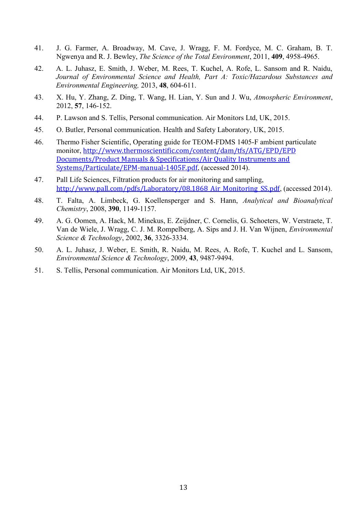- 41. J. G. Farmer, A. Broadway, M. Cave, J. Wragg, F. M. Fordyce, M. C. Graham, B. T. Ngwenya and R. J. Bewley, *The Science of the Total Environment*, 2011, **409**, 4958-4965.
- 42. A. L. Juhasz, E. Smith, J. Weber, M. Rees, T. Kuchel, A. Rofe, L. Sansom and R. Naidu, *Journal of Environmental Science and Health, Part A: Toxic/Hazardous Substances and Environmental Engineering,* 2013, **48**, 604-611.
- 43. X. Hu, Y. Zhang, Z. Ding, T. Wang, H. Lian, Y. Sun and J. Wu, *Atmospheric Environment*, 2012, **57**, 146-152.
- 44. P. Lawson and S. Tellis, Personal communication. Air Monitors Ltd, UK, 2015.
- 45. O. Butler, Personal communication. Health and Safety Laboratory, UK, 2015.
- 46. Thermo Fisher Scientific, Operating guide for TEOM-FDMS 1405-F ambient particulate monitor, [http://www.thermoscientific.com/content/dam/tfs/ATG/EPD/EPD](http://www.thermoscientific.com/content/dam/tfs/ATG/EPD/EPD%20Documents/Product%20Manuals%20&%20Specifications/Air%20Quality%20Instruments%20and%20Systems/Particulate/EPM-manual-1405F.pdf)  [Documents/Product Manuals & Specifications/Air Quality Instruments and](http://www.thermoscientific.com/content/dam/tfs/ATG/EPD/EPD%20Documents/Product%20Manuals%20&%20Specifications/Air%20Quality%20Instruments%20and%20Systems/Particulate/EPM-manual-1405F.pdf)  [Systems/Particulate/EPM-manual-1405F.pdf](http://www.thermoscientific.com/content/dam/tfs/ATG/EPD/EPD%20Documents/Product%20Manuals%20&%20Specifications/Air%20Quality%20Instruments%20and%20Systems/Particulate/EPM-manual-1405F.pdf), (accessed 2014).
- 47. Pall Life Sciences, Filtration products for air monitoring and sampling, [http://www.pall.com/pdfs/Laboratory/08.1868\\_Air\\_Monitoring\\_SS.pdf](http://www.pall.com/pdfs/Laboratory/08.1868_Air_Monitoring_SS.pdf), (accessed 2014).
- 48. T. Falta, A. Limbeck, G. Koellensperger and S. Hann, *Analytical and Bioanalytical Chemistry*, 2008, **390**, 1149-1157.
- 49. A. G. Oomen, A. Hack, M. Minekus, E. Zeijdner, C. Cornelis, G. Schoeters, W. Verstraete, T. Van de Wiele, J. Wragg, C. J. M. Rompelberg, A. Sips and J. H. Van Wijnen, *Environmental Science & Technology*, 2002, **36**, 3326-3334.
- 50. A. L. Juhasz, J. Weber, E. Smith, R. Naidu, M. Rees, A. Rofe, T. Kuchel and L. Sansom, *Environmental Science & Technology*, 2009, **43**, 9487-9494.
- 51. S. Tellis, Personal communication. Air Monitors Ltd, UK, 2015.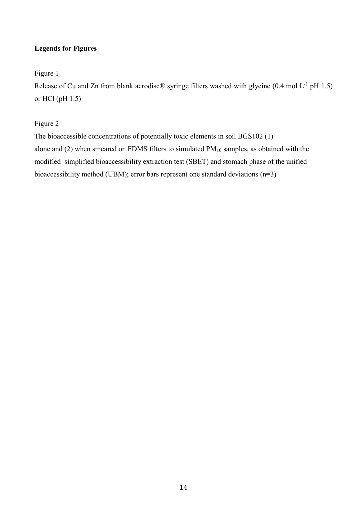## **Legends for Figures**

Figure 1

Release of Cu and Zn from blank acrodisc® syringe filters washed with glycine  $(0.4 \text{ mol L}^{-1} \text{ pH } 1.5)$ or HCl (pH 1.5)

## Figure 2

The bioaccessible concentrations of potentially toxic elements in soil BGS102 (1) alone and  $(2)$  when smeared on FDMS filters to simulated  $PM_{10}$  samples, as obtained with the modified simplified bioaccessibility extraction test (SBET) and stomach phase of the unified bioaccessibility method (UBM); error bars represent one standard deviations (n=3)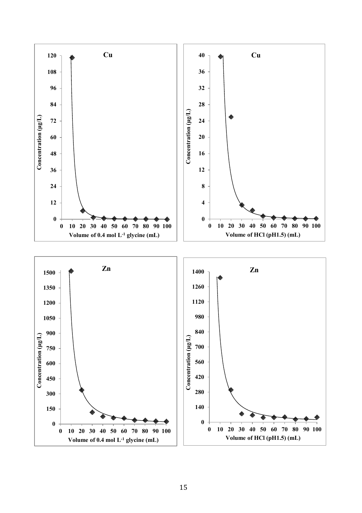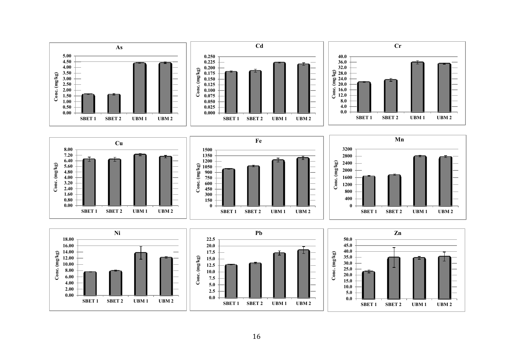



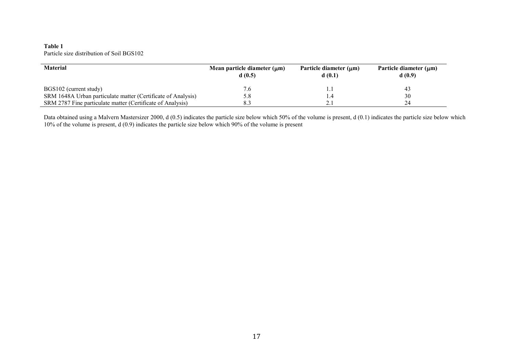#### **Table 1** Particle size distribution of Soil BGS102

| <b>Material</b>                                              | Mean particle diameter $(\mu m)$<br>d(0.5) | Particle diameter $(\mu m)$<br>d(0.1) | Particle diameter $(\mu m)$<br>d(0.9) |
|--------------------------------------------------------------|--------------------------------------------|---------------------------------------|---------------------------------------|
| BGS102 (current study)                                       | 7.6                                        |                                       | 43                                    |
| SRM 1648A Urban particulate matter (Certificate of Analysis) | 5.8                                        |                                       | 30                                    |
| SRM 2787 Fine particulate matter (Certificate of Analysis)   | 8.3                                        |                                       | 24                                    |

Data obtained using a Malvern Mastersizer 2000, d (0.5) indicates the particle size below which 50% of the volume is present, d (0.1) indicates the particle size below which 10% of the volume is present, d (0.9) indicates the particle size below which 90% of the volume is present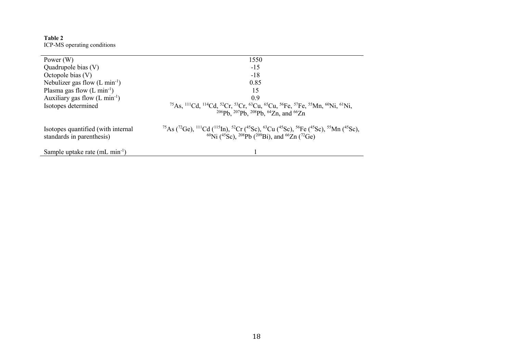**Table 2** ICP-MS operating conditions

| Power $(W)$                                                     | 1550                                                                                                                                                                                                                                                                                                                                                            |
|-----------------------------------------------------------------|-----------------------------------------------------------------------------------------------------------------------------------------------------------------------------------------------------------------------------------------------------------------------------------------------------------------------------------------------------------------|
| Quadrupole bias (V)                                             | $-15$                                                                                                                                                                                                                                                                                                                                                           |
| Octopole bias $(V)$                                             | $-18$                                                                                                                                                                                                                                                                                                                                                           |
| Nebulizer gas flow $(L \text{ min}^{-1})$                       | 0.85                                                                                                                                                                                                                                                                                                                                                            |
| Plasma gas flow $(L \text{ min}^{-1})$                          | 15                                                                                                                                                                                                                                                                                                                                                              |
| Auxiliary gas flow $(L \text{ min}^{-1})$                       | 0.9                                                                                                                                                                                                                                                                                                                                                             |
| Isotopes determined                                             | <sup>75</sup> As, <sup>111</sup> Cd, <sup>114</sup> Cd, <sup>52</sup> Cr, <sup>53</sup> Cr, <sup>63</sup> Cu, <sup>65</sup> Cu, <sup>56</sup> Fe, <sup>57</sup> Fe, <sup>55</sup> Mn, <sup>60</sup> Ni, <sup>61</sup> Ni,<br><sup>206</sup> Pb, <sup>207</sup> Pb, <sup>208</sup> Pb, <sup>64</sup> Zn, and <sup>66</sup> Zn                                    |
| Isotopes quantified (with internal<br>standards in parenthesis) | <sup>75</sup> As ( <sup>72</sup> Ge), <sup>111</sup> Cd ( <sup>115</sup> In), <sup>52</sup> Cr ( <sup>45</sup> Sc), <sup>63</sup> Cu ( <sup>45</sup> Sc), <sup>56</sup> Fe ( <sup>45</sup> Sc), <sup>55</sup> Mn ( <sup>45</sup> Sc),<br><sup>60</sup> Ni ( <sup>45</sup> Sc), <sup>208</sup> Pb ( <sup>209</sup> Bi), and <sup>66</sup> Zn ( <sup>72</sup> Ge) |
| Sample uptake rate (mL min <sup>-1</sup> )                      |                                                                                                                                                                                                                                                                                                                                                                 |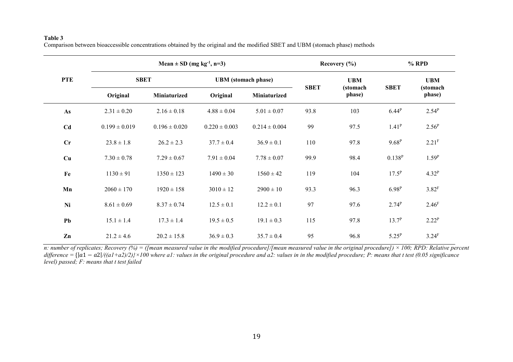#### **Table 3** Comparison between bioaccessible concentrations obtained by the original and the modified SBET and UBM (stomach phase) methods

|                | Mean $\pm$ SD (mg kg <sup>-1</sup> , n=3) |                   |                            |                   | Recovery $(\% )$ |                    | $%$ RPD     |                     |
|----------------|-------------------------------------------|-------------------|----------------------------|-------------------|------------------|--------------------|-------------|---------------------|
| <b>PTE</b>     | <b>SBET</b>                               |                   | <b>UBM</b> (stomach phase) |                   |                  | <b>UBM</b>         |             | <b>UBM</b>          |
|                | Original                                  | Miniaturized      | Original                   | Miniaturized      | <b>SBET</b>      | (stomach<br>phase) | <b>SBET</b> | (stomach<br>phase)  |
| As             | $2.31 \pm 0.20$                           | $2.16 \pm 0.18$   | $4.88 \pm 0.04$            | $5.01 \pm 0.07$   | 93.8             | 103                | 6.44P       | $2.54^{P}$          |
| C <sub>d</sub> | $0.199 \pm 0.019$                         | $0.196 \pm 0.020$ | $0.220 \pm 0.003$          | $0.214 \pm 0.004$ | 99               | 97.5               | $1.41^P$    | $2.56^{P}$          |
| Cr             | $23.8 \pm 1.8$                            | $26.2 \pm 2.3$    | $37.7 \pm 0.4$             | $36.9 \pm 0.1$    | 110              | 97.8               | $9.68^{P}$  | $2.21$ <sup>F</sup> |
| Cu             | $7.30 \pm 0.78$                           | $7.29 \pm 0.67$   | $7.91 \pm 0.04$            | $7.78 \pm 0.07$   | 99.9             | 98.4               | $0.138^{P}$ | 1.59 <sup>P</sup>   |
| Fe             | $1130 \pm 91$                             | $1350 \pm 123$    | $1490 \pm 30$              | $1560 \pm 42$     | 119              | 104                | $17.5^P$    | $4.32^{P}$          |
| Mn             | $2060 \pm 170$                            | $1920 \pm 158$    | $3010 \pm 12$              | $2900 \pm 10$     | 93.3             | 96.3               | $6.98^{P}$  | $3.82$ <sup>F</sup> |
| Ni             | $8.61 \pm 0.69$                           | $8.37 \pm 0.74$   | $12.5 \pm 0.1$             | $12.2 \pm 0.1$    | 97               | 97.6               | 2.74P       | 2.46 <sup>F</sup>   |
| Pb             | $15.1 \pm 1.4$                            | $17.3 \pm 1.4$    | $19.5 \pm 0.5$             | $19.1 \pm 0.3$    | 115              | 97.8               | $13.7^P$    | $2.22^{P}$          |
| Zn             | $21.2 \pm 4.6$                            | $20.2 \pm 15.8$   | $36.9 \pm 0.3$             | $35.7 \pm 0.4$    | 95               | 96.8               | $5.25^P$    | 3.24 <sup>F</sup>   |

*n: number of replicates; Recovery (%) = ([mean measured value in the modified procedure]/[mean measured value in the original procedure]) × 100; RPD: Relative percent difference =* {|1 − 2|*/((a1+a2)/2)}×100 where a1: values in the original procedure and a2: values in in the modified procedure; P: means that t test (0.05 significance level) passed; F: means that t test failed*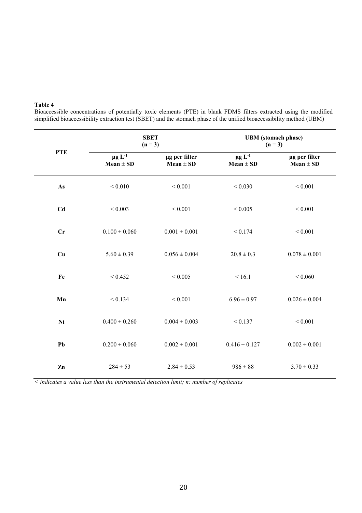#### **Table 4**

Bioaccessible concentrations of potentially toxic elements (PTE) in blank FDMS filters extracted using the modified simplified bioaccessibility extraction test (SBET) and the stomach phase of the unified bioaccessibility method (UBM)

|            | <b>SBET</b><br>$(n = 3)$                 |                                | <b>UBM</b> (stomach phase)<br>$(n = 3)$  |                                |  |
|------------|------------------------------------------|--------------------------------|------------------------------------------|--------------------------------|--|
| <b>PTE</b> | $\mu$ g L <sup>-1</sup><br>$Mean \pm SD$ | µg per filter<br>$Mean \pm SD$ | $\mu$ g L <sup>-1</sup><br>$Mean \pm SD$ | µg per filter<br>$Mean \pm SD$ |  |
| As         | ${}< 0.010$                              | ${}< 0.001$                    | ${}_{0.030}$                             | ${}< 0.001$                    |  |
| Cd         | ${}< 0.003$                              | ${}< 0.001$                    | ${}< 0.005$                              | ${}< 0.001$                    |  |
| Cr         | $0.100 \pm 0.060$                        | $0.001 \pm 0.001$              | < 0.174                                  | ${}< 0.001$                    |  |
| Cu         | $5.60 \pm 0.39$                          | $0.056 \pm 0.004$              | $20.8 \pm 0.3$                           | $0.078 \pm 0.001$              |  |
| Fe         | < 0.452                                  | ${}< 0.005$                    | < 16.1                                   | ${}< 0.060$                    |  |
| Mn         | < 0.134                                  | ${}< 0.001$                    | $6.96 \pm 0.97$                          | $0.026 \pm 0.004$              |  |
| Ni         | $0.400 \pm 0.260$                        | $0.004 \pm 0.003$              | < 0.137                                  | ${}< 0.001$                    |  |
| Pb         | $0.200 \pm 0.060$                        | $0.002 \pm 0.001$              | $0.416 \pm 0.127$                        | $0.002 \pm 0.001$              |  |
| Zn         | $284 \pm 53$                             | $2.84 \pm 0.53$                | $986 \pm 88$                             | $3.70 \pm 0.33$                |  |

*< indicates a value less than the instrumental detection limit; n: number of replicates*